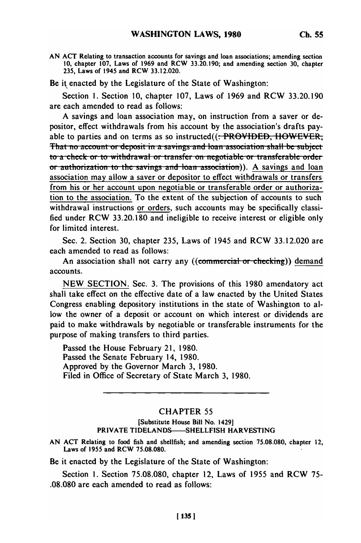**AN ACT** Relating to transaction accounts for savings and loan associations; amending **section 10,** chapter **107,** Laws of **1969** and RCW **33.20.190;** and amending section **30,** chapter **235,** Laws of 1945 and RCW **33.12.020.**

Be **it** enacted **by** the Legislature of the State of Washington:

Section **1.** Section **10,** chapter **107,** Laws of **1969** and RCW **33.20.190** are each amended to read as follows:

**A** savings and loan association may, on instruction from a saver or depositor, effect withdrawals from his account **by** the association's drafts payable to parties and on terms as so instructed((<del>: PROVIDED, HOWEVER,</del> That no account or deposit in a savings and loan association shall be subject **to a check or to withdrawal or transfer on negotiable or transferable order 00 authorization to the savings and loan association)). A savings and loan** association may allow a saver or depositor to effect withdrawals or transfers from his or her account upon negotiable or transferable order or authorization to the association. To the extent of the subjection of accounts to such withdrawal instructions or orders, such accounts may be specifically classified under RCW 33.20.180 and ineligible to receive interest or eligible only for limited interest.

Sec. 2. Section 30, chapter 235, Laws of 1945 and RCW 33.12.020 are each amended to read as follows:

An association shall not carry any  $((\text{commercial or checking}))$  demand accounts.

**NEW SECTION.** Sec. **3.** The provisions of this **1980** amendatory act shall take effect on the effective date of a law enacted **by** the United States Congress enabling depository institutions in the state of Washington to allow the owner of a deposit or account on which interest or dividends are paid to make withdrawals **by** negotiable or transferable instruments for the purpose of making transfers to third parties.

Passed the House February 21, **1980.** Passed the Senate February 14, **1980.** Approved **by** the Governor March **3, 1980.** Filed in Office of Secretary of State March **3, 1980.**

## CHAPTER 55

[Substitute House Bill No. 1429] PRIVATE TIDELANDS--SHELLFISH **HARVESTING**

**AN ACT** Relating to food fish and shellfish; and amending section **75.08.080,** chapter 12, Laws of **1955** and RCW **75.08.080.**

Be it enacted **by** the Legislature of the State of Washington:

Section **1.** Section **75.08.080,** chapter 12, Laws of **1955** and RCW **75- .08.080** are each amended to read as follows: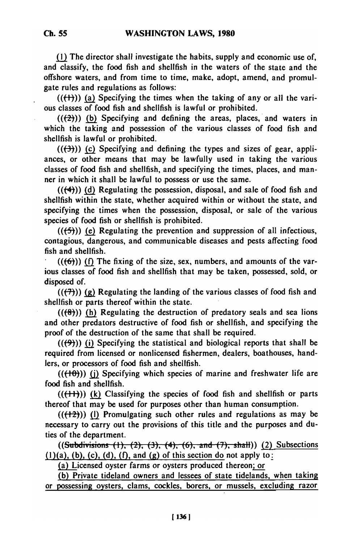**(J)** The director shall investigate the habits, supply and economic use of, and classify, the food fish and shellfish in the waters of the state and the offshore waters, and from time to time, make, adopt, amend, and promulgate rules and regulations as follows:

 $((+)$ ) (a) Specifying the times when the taking of any or all the various classes of food fish and shellfish is lawful or prohibited.

 $((\frac{1}{2}))$  (b) Specifying and defining the areas, places, and waters in which the taking and possession of the various classes of food fish and shellfish is lawful or prohibited.

 $((\left\{\rightarrow\right\}))$  (c) Specifying and defining the types and sizes of gear, appliances, or other means that may be lawfully used in taking the various classes of food fish and shellfish, and specifying the times, places, and manner in which it shall be lawful to possess or use the same.

(((4))) **(d)** Regulating the possession, disposal, and sale of food fish and shellfish within the state, whether acquired within or without the state, and specifying the times when the possession, disposal, or sale of the various species of food fish or shellfish is prohibited.

 $((\left\langle \frac{f}{f}\right\rangle))$  (e) Regulating the prevention and suppression of all infectious, contagious, dangerous, and communicable diseases and pests affecting food fish and shellfish.

 $((\{6\}))$  (f) The fixing of the size, sex, numbers, and amounts of the various classes of food fish and shellfish that may be taken, possessed, sold, or disposed of.

 $((\langle 7\rangle))$  (g) Regulating the landing of the various classes of food fish and shellfish or parts thereof within the state.

 $((\{8\}))$  (h) Regulating the destruction of predatory seals and sea lions and other predators destructive of food fish or shellfish, and specifying the proof of the destruction of the same that shall be required.

**((f9)))** (i) Specifying the statistical and biological reports that shall be required from licensed or nonlicensed fishermen, dealers, boathouses, handlers, or processors of food fish and shellfish.

 $((+10))$  (j) Specifying which species of marine and freshwater life are food fish and shellfish.

 $((+1))$  (k) Classifying the species of food fish and shellfish or parts thereof that may be used for purposes other than human consumption.

 $((+2))$  (1) Promulgating such other rules and regulations as may be necessary to carry out the provisions of this title and the purposes and duties of the department.

((Subdivisions (1), (2), (3), (4), (6), and (7), shall)) (2) Subsections  $(1)(a)$ ,  $(b)$ ,  $(c)$ ,  $(d)$ ,  $(f)$ , and  $(g)$  of this section do not apply to:

(a) Licensed oyster farms or oysters produced thereon;or

(b) Private tideland owners and lessees of state tidelands, when taking or possessing oysters, clams, cockles, borers, or mussels, excluding razor